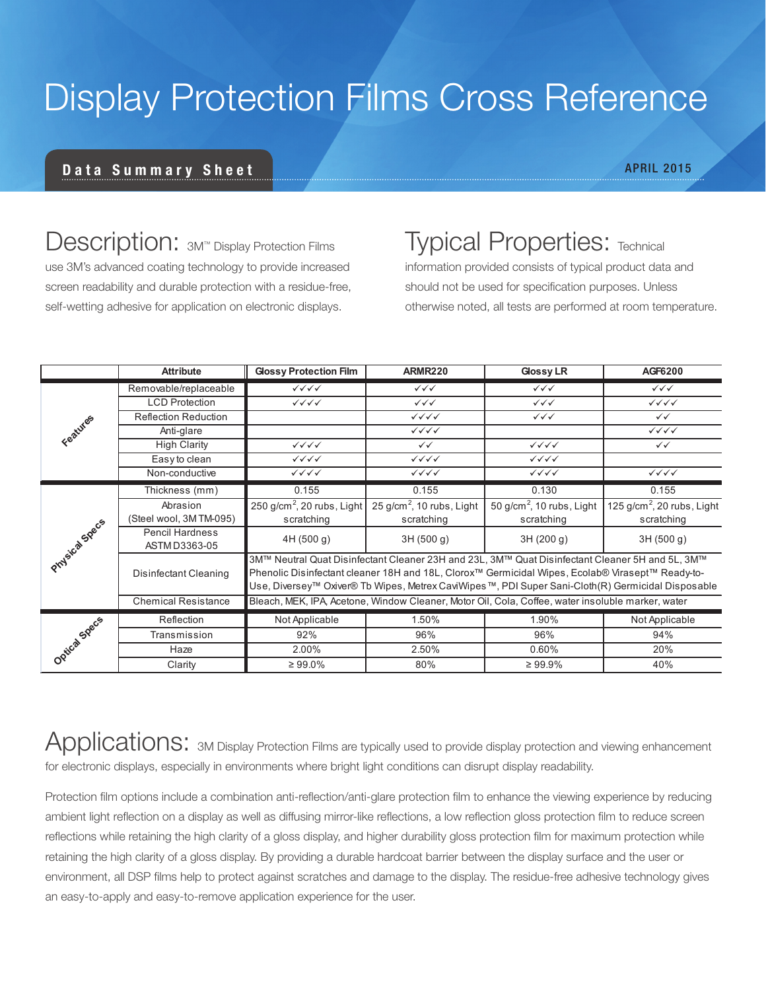# Display Protection Films Cross Reference

#### Data Summary Sheet

Description: 3M™ Display Protection Films use 3M's advanced coating technology to provide increased screen readability and durable protection with a residue-free, self-wetting adhesive for application on electronic displays.

### **Typical Properties: Technical**

information provided consists of typical product data and should not be used for specification purposes. Unless otherwise noted, all tests are performed at room temperature.

|                | <b>Attribute</b>                        | <b>Glossy Protection Film</b>                                                                                                                                                                                                                                                                            | <b>ARMR220</b>                   | <b>Glossy LR</b>                      | AGF6200                          |
|----------------|-----------------------------------------|----------------------------------------------------------------------------------------------------------------------------------------------------------------------------------------------------------------------------------------------------------------------------------------------------------|----------------------------------|---------------------------------------|----------------------------------|
| Features       | Removable/replaceable                   | $\checkmark\checkmark\checkmark$                                                                                                                                                                                                                                                                         | $\checkmark\checkmark\checkmark$ | $\checkmark\checkmark\checkmark$      | $\checkmark\checkmark\checkmark$ |
|                | <b>LCD Protection</b>                   | $\checkmark\checkmark\checkmark$                                                                                                                                                                                                                                                                         | $\checkmark\checkmark$           | $\checkmark\checkmark\checkmark$      | $\checkmark\checkmark\checkmark$ |
|                | <b>Reflection Reduction</b>             |                                                                                                                                                                                                                                                                                                          | $\checkmark\checkmark\checkmark$ | $\checkmark\checkmark\checkmark$      | $\checkmark$                     |
|                | Anti-glare                              |                                                                                                                                                                                                                                                                                                          | $\checkmark\checkmark\checkmark$ |                                       | $\checkmark\checkmark\checkmark$ |
|                | <b>High Clarity</b>                     | $\checkmark\checkmark\checkmark$                                                                                                                                                                                                                                                                         | $\checkmark$                     | $\checkmark\checkmark\checkmark$      | $\checkmark\checkmark$           |
|                | Easy to clean                           | $\checkmark\checkmark\checkmark$                                                                                                                                                                                                                                                                         | $\checkmark\checkmark\checkmark$ | $\checkmark\checkmark\checkmark$      |                                  |
|                | Non-conductive                          | $\checkmark\checkmark\checkmark$                                                                                                                                                                                                                                                                         | $\checkmark\checkmark\checkmark$ | $\checkmark\checkmark\checkmark$      | $\checkmark\checkmark\checkmark$ |
| Physical Specs | Thickness (mm)                          | 0.155                                                                                                                                                                                                                                                                                                    | 0.155                            | 0.130                                 | 0.155                            |
|                | Abrasion                                | $\overline{250}$ g/cm <sup>2</sup> , 20 rubs, Light                                                                                                                                                                                                                                                      | 25 $g/cm2$ , 10 rubs, Light      | 50 g/cm <sup>2</sup> , 10 rubs, Light | 125 $g/cm2$ , 20 rubs, Light     |
|                | (Steel wool, 3M TM-095)                 | scratching                                                                                                                                                                                                                                                                                               | scratching                       | scratching                            | scratching                       |
|                | <b>Pencil Hardness</b><br>ASTM D3363-05 | 4H(500 g)                                                                                                                                                                                                                                                                                                | 3H (500 g)                       | 3H (200 g)                            | 3H (500 g)                       |
|                | Disinfectant Cleaning                   | 3M™ Neutral Quat Disinfectant Cleaner 23H and 23L, 3M™ Quat Disinfectant Cleaner 5H and 5L, 3M™<br>Phenolic Disinfectant cleaner 18H and 18L, Clorox™ Germicidal Wipes, Ecolab® Virasept™ Ready-to-<br>Use, Diversey™ Oxiver® Tb Wipes, Metrex CaviWipes™, PDI Super Sani-Cloth(R) Germicidal Disposable |                                  |                                       |                                  |
|                | <b>Chemical Resistance</b>              | Bleach, MEK, IPA, Acetone, Window Cleaner, Motor Oil, Cola, Coffee, water insoluble marker, water                                                                                                                                                                                                        |                                  |                                       |                                  |
| Optical Specs  | Reflection                              | Not Applicable                                                                                                                                                                                                                                                                                           | 1.50%                            | 1.90%                                 | Not Applicable                   |
|                | Transmission                            | 92%                                                                                                                                                                                                                                                                                                      | 96%                              | 96%                                   | 94%                              |
|                | Haze                                    | 2.00%                                                                                                                                                                                                                                                                                                    | 2.50%                            | 0.60%                                 | 20%                              |
|                | Clarity                                 | $\geq 99.0\%$                                                                                                                                                                                                                                                                                            | 80%                              | $\geq 99.9\%$                         | 40%                              |

Applications: 3M Display Protection Films are typically used to provide display protection and viewing enhancement for electronic displays, especially in environments where bright light conditions can disrupt display readability.

Protection film options include a combination anti-reflection/anti-glare protection film to enhance the viewing experience by reducing ambient light reflection on a display as well as diffusing mirror-like reflections, a low reflection gloss protection film to reduce screen reflections while retaining the high clarity of a gloss display, and higher durability gloss protection film for maximum protection while retaining the high clarity of a gloss display. By providing a durable hardcoat barrier between the display surface and the user or environment, all DSP films help to protect against scratches and damage to the display. The residue-free adhesive technology gives an easy-to-apply and easy-to-remove application experience for the user.